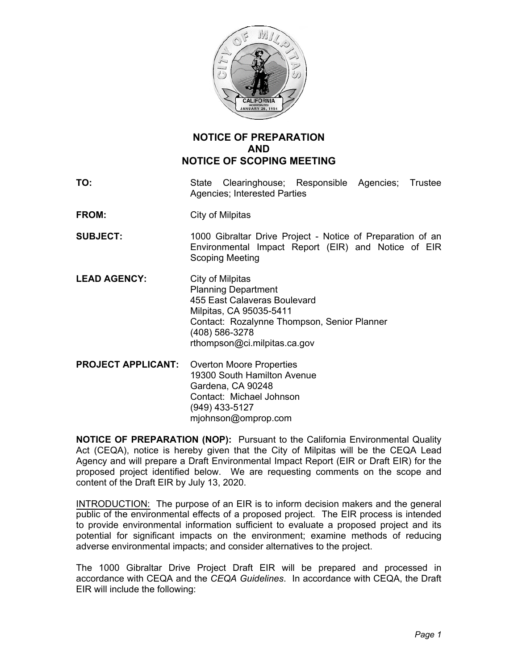

## **NOTICE OF PREPARATION AND NOTICE OF SCOPING MEETING**

**TO:** State Clearinghouse; Responsible Agencies; Trustee Agencies; Interested Parties

**FROM:** City of Milpitas

- **SUBJECT:** 1000 Gibraltar Drive Project Notice of Preparation of an Environmental Impact Report (EIR) and Notice of EIR Scoping Meeting
- LEAD AGENCY: City of Milpitas Planning Department 455 East Calaveras Boulevard Milpitas, CA 95035-5411 Contact: Rozalynne Thompson, Senior Planner (408) 586-3278 rthompson@ci.milpitas.ca.gov
- **PROJECT APPLICANT:** Overton Moore Properties 19300 South Hamilton Avenue Gardena, CA 90248 Contact: Michael Johnson (949) 433-5127 mjohnson@omprop.com

**NOTICE OF PREPARATION (NOP):** Pursuant to the California Environmental Quality Act (CEQA), notice is hereby given that the City of Milpitas will be the CEQA Lead Agency and will prepare a Draft Environmental Impact Report (EIR or Draft EIR) for the proposed project identified below. We are requesting comments on the scope and content of the Draft EIR by July 13, 2020.

INTRODUCTION: The purpose of an EIR is to inform decision makers and the general public of the environmental effects of a proposed project. The EIR process is intended to provide environmental information sufficient to evaluate a proposed project and its potential for significant impacts on the environment; examine methods of reducing adverse environmental impacts; and consider alternatives to the project.

The 1000 Gibraltar Drive Project Draft EIR will be prepared and processed in accordance with CEQA and the *CEQA Guidelines*. In accordance with CEQA, the Draft EIR will include the following: